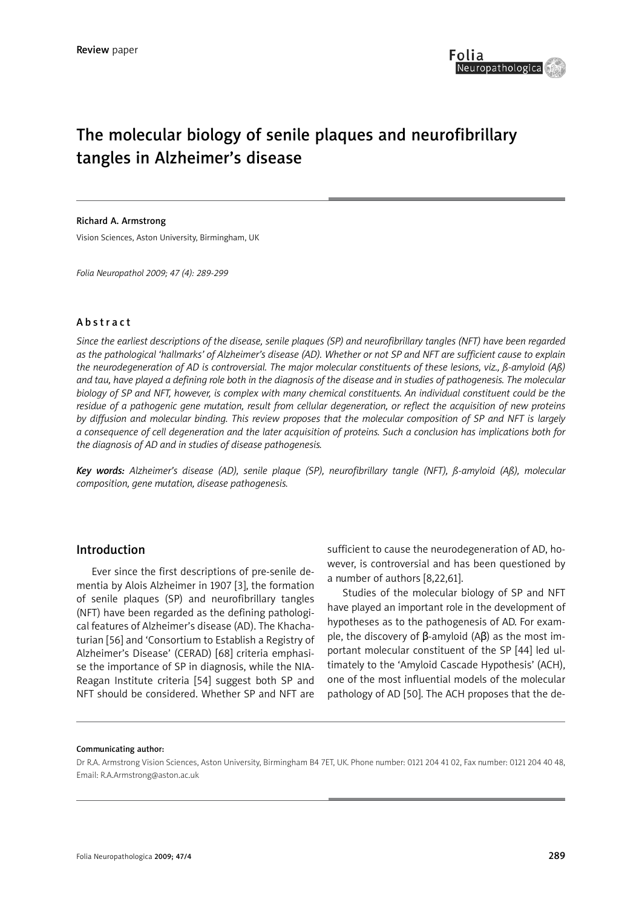

# The molecular biology of senile plaques and neurofibrillary tangles in Alzheimer's disease

#### Richard A. Armstrong

Vision Sciences, Aston University, Birmingham, UK

*Folia Neuropathol 2009; 47 (4): 289-299*

#### Abstract

*Since the earliest descriptions of the disease, senile plaques (SP) and neurofibrillary tangles (NFT) have been regarded as the pathological 'hallmarks' of Alzheimer's disease (AD). Whether or not SP and NFT are sufficient cause to explain the neurodegeneration of AD is controversial. The major molecular constituents of these lesions, viz., ß-amyloid (Aß) and tau, have played a defining role both in the diagnosis of the disease and in studies of pathogenesis. The molecular biology of SP and NFT, however, is complex with many chemical constituents. An individual constituent could be the residue of a pathogenic gene mutation, result from cellular degeneration, or reflect the acquisition of new proteins by diffusion and molecular binding. This review proposes that the molecular composition of SP and NFT is largely a consequence of cell degeneration and the later acquisition of proteins. Such a conclusion has implications both for the diagnosis of AD and in studies of disease pathogenesis.*

*Key words: Alzheimer's disease (AD), senile plaque (SP), neurofibrillary tangle (NFT), ß-amyloid (Aß), molecular composition, gene mutation, disease pathogenesis.*

#### Introduction

Ever since the first descriptions of pre-senile dementia by Alois Alzheimer in 1907 [3], the formation of senile plaques (SP) and neurofibrillary tangles (NFT) have been regarded as the defining pathological features of Alzheimer's disease (AD). The Khachaturian [56] and 'Consortium to Establish a Registry of Alzheimer's Disease' (CERAD) [68] criteria emphasise the importance of SP in diagnosis, while the NIA-Reagan Institute criteria [54] suggest both SP and NFT should be considered. Whether SP and NFT are

sufficient to cause the neurodegeneration of AD, however, is controversial and has been questioned by a number of authors [8,22,61].

Studies of the molecular biology of SP and NFT have played an important role in the development of hypotheses as to the pathogenesis of AD. For example, the discovery of  $\beta$ -amyloid (A $\beta$ ) as the most important molecular constituent of the SP [44] led ultimately to the 'Amyloid Cascade Hypothesis' (ACH), one of the most influential models of the molecular pathology of AD [50]. The ACH proposes that the de-

#### Communicating author:

Dr R.A. Armstrong Vision Sciences, Aston University, Birmingham B4 7ET, UK. Phone number: 0121 204 41 02, Fax number: 0121 204 40 48, Email: R.A.Armstrong@aston.ac.uk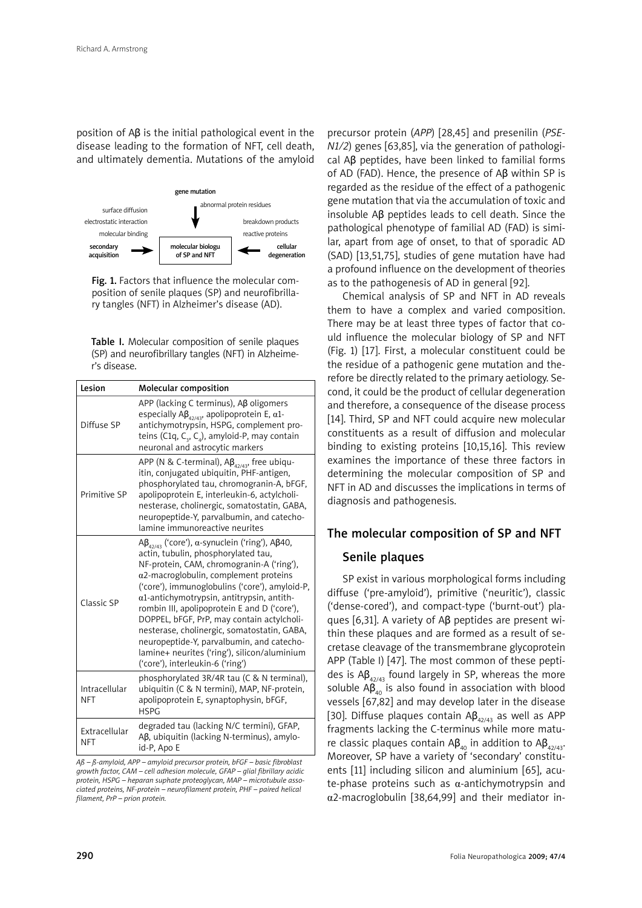position of Aβ is the initial pathological event in the disease leading to the formation of NFT, cell death, and ultimately dementia. Mutations of the amyloid



Fig. 1. Factors that influence the molecular composition of senile plaques (SP) and neurofibrillary tangles (NFT) in Alzheimer's disease (AD).

Table I. Molecular composition of senile plaques (SP) and neurofibrillary tangles (NFT) in Alzheimer's disease.

| Lesion                      | Molecular composition                                                                                                                                                                                                                                                                                                                                                                                                                                                                                                                                                               |
|-----------------------------|-------------------------------------------------------------------------------------------------------------------------------------------------------------------------------------------------------------------------------------------------------------------------------------------------------------------------------------------------------------------------------------------------------------------------------------------------------------------------------------------------------------------------------------------------------------------------------------|
| Diffuse SP                  | $APP$ (lacking C terminus), $A\beta$ oligomers<br>especially A $\beta_{4}$ <sub>42/43</sub> , apolipoprotein E, $\alpha$ 1-<br>antichymotrypsin, HSPG, complement pro-<br>teins (C1q, C <sub>3</sub> , C <sub>4</sub> ), amyloid-P, may contain<br>neuronal and astrocytic markers                                                                                                                                                                                                                                                                                                  |
| Primitive SP                | APP (N & C-terminal), $AB_{42/43}$ , free ubiqu-<br>itin, conjugated ubiquitin, PHF-antigen,<br>phosphorylated tau, chromogranin-A, bFGF,<br>apolipoprotein E, interleukin-6, actylcholi-<br>nesterase, cholinergic, somatostatin, GABA,<br>neuropeptide-Y, parvalbumin, and catecho-<br>lamine immunoreactive neurites                                                                                                                                                                                                                                                             |
| Classic SP                  | Aβ <sub>42/43</sub> ('core'), α-synuclein ('ring'), Aβ40,<br>actin, tubulin, phosphorylated tau,<br>NF-protein, CAM, chromogranin-A ('ring'),<br>$\alpha$ 2-macroglobulin, complement proteins<br>('core'), immunoglobulins ('core'), amyloid-P,<br>$\alpha$ 1-antichymotrypsin, antitrypsin, antith-<br>rombin III, apolipoprotein E and D ('core'),<br>DOPPEL, bFGF, PrP, may contain actylcholi-<br>nesterase, cholinergic, somatostatin, GABA,<br>neuropeptide-Y, parvalbumin, and catecho-<br>lamine+ neurites ('ring'), silicon/aluminium<br>('core'), interleukin-6 ('ring') |
| Intracellular<br><b>NFT</b> | phosphorylated 3R/4R tau (C & N terminal),<br>ubiquitin (C & N termini), MAP, NF-protein,<br>apolipoprotein E, synaptophysin, bFGF,<br><b>HSPG</b>                                                                                                                                                                                                                                                                                                                                                                                                                                  |
| Extracellular<br><b>NFT</b> | degraded tau (lacking N/C termini), GFAP,<br>Aβ, ubiquitin (lacking N-terminus), amylo-<br>id-P, Apo E                                                                                                                                                                                                                                                                                                                                                                                                                                                                              |

*Aß – ß-amyloid, APP – amyloid precursor protein, bFGF – basic fibroblast growth factor, CAM – cell adhesion molecule, GFAP – glial fibrillary acidic protein, HSPG – heparan suphate proteoglycan, MAP – microtubule associated proteins, NF-protein – neurofilament protein, PHF – paired helical filament, PrP – prion protein.*

precursor protein (*APP*) [28,45] and presenilin (*PSE-N1/2*) genes [63,85], via the generation of pathological Aβ peptides, have been linked to familial forms of AD (FAD). Hence, the presence of Aβ within SP is regarded as the residue of the effect of a pathogenic gene mutation that via the accumulation of toxic and insoluble Aβ peptides leads to cell death. Since the pathological phenotype of familial AD (FAD) is similar, apart from age of onset, to that of sporadic AD (SAD) [13,51,75], studies of gene mutation have had a profound influence on the development of theories as to the pathogenesis of AD in general [92].

Chemical analysis of SP and NFT in AD reveals them to have a complex and varied composition. There may be at least three types of factor that could influence the molecular biology of SP and NFT (Fig. 1) [17]. First, a molecular constituent could be the residue of a pathogenic gene mutation and therefore be directly related to the primary aetiology. Second, it could be the product of cellular degeneration and therefore, a consequence of the disease process [14]. Third, SP and NFT could acquire new molecular constituents as a result of diffusion and molecular binding to existing proteins [10,15,16]. This review examines the importance of these three factors in determining the molecular composition of SP and NFT in AD and discusses the implications in terms of diagnosis and pathogenesis.

# The molecular composition of SP and NFT

## Senile plaques

SP exist in various morphological forms including diffuse ('pre-amyloid'), primitive ('neuritic'), classic ('dense-cored'), and compact-type ('burnt-out') plaques [6,31]. A variety of Aβ peptides are present within these plaques and are formed as a result of secretase cleavage of the transmembrane glycoprotein APP (Table I) [47]. The most common of these peptides is  $AB_{42/43}$  found largely in SP, whereas the more soluble  $AB_{40}$  is also found in association with blood vessels [67,82] and may develop later in the disease [30]. Diffuse plaques contain  $AB_{42/43}$  as well as APP fragments lacking the C-terminus while more mature classic plaques contain Aβ<sub>40</sub> in addition to Aβ<sub>42/43</sub>. Moreover, SP have a variety of 'secondary' constituents [11] including silicon and aluminium [65], acute-phase proteins such as  $\alpha$ -antichymotrypsin and α2-macroglobulin [38,64,99] and their mediator in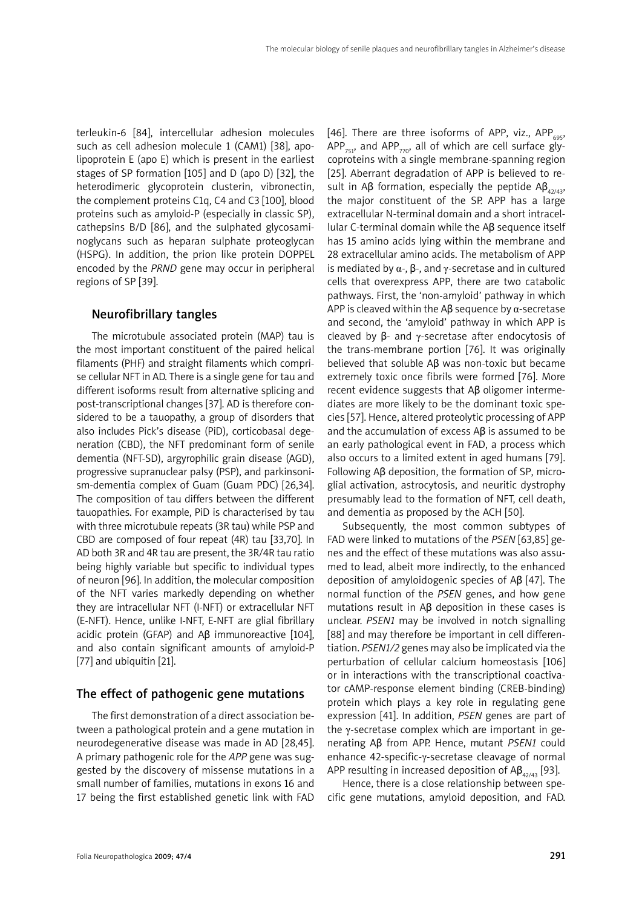terleukin-6 [84], intercellular adhesion molecules such as cell adhesion molecule 1 (CAM1) [38], apolipoprotein E (apo E) which is present in the earliest stages of SP formation [105] and D (apo D) [32], the heterodimeric glycoprotein clusterin, vibronectin, the complement proteins C1q, C4 and C3 [100], blood proteins such as amyloid-P (especially in classic SP), cathepsins B/D [86], and the sulphated glycosaminoglycans such as heparan sulphate proteoglycan (HSPG). In addition, the prion like protein DOPPEL encoded by the *PRND* gene may occur in peripheral regions of SP [39].

## Neurofibrillary tangles

The microtubule associated protein (MAP) tau is the most important constituent of the paired helical filaments (PHF) and straight filaments which comprise cellular NFT in AD. There is a single gene for tau and different isoforms result from alternative splicing and post-transcriptional changes [37]. AD is therefore considered to be a tauopathy, a group of disorders that also includes Pick's disease (PiD), corticobasal degeneration (CBD), the NFT predominant form of senile dementia (NFT-SD), argyrophilic grain disease (AGD), progressive supranuclear palsy (PSP), and parkinsonism-dementia complex of Guam (Guam PDC) [26,34]. The composition of tau differs between the different tauopathies. For example, PiD is characterised by tau with three microtubule repeats (3R tau) while PSP and CBD are composed of four repeat (4R) tau [33,70]. In AD both 3R and 4R tau are present, the 3R/4R tau ratio being highly variable but specific to individual types of neuron [96]. In addition, the molecular composition of the NFT varies markedly depending on whether they are intracellular NFT (I-NFT) or extracellular NFT (E-NFT). Hence, unlike I-NFT, E-NFT are glial fibrillary acidic protein (GFAP) and Aβ immunoreactive [104], and also contain significant amounts of amyloid-P [77] and ubiquitin [21].

#### The effect of pathogenic gene mutations

The first demonstration of a direct association between a pathological protein and a gene mutation in neurodegenerative disease was made in AD [28,45]. A primary pathogenic role for the *APP* gene was suggested by the discovery of missense mutations in a small number of families, mutations in exons 16 and 17 being the first established genetic link with FAD

[46]. There are three isoforms of APP, viz., APP<sub>695</sub>, APP<sub>751</sub>, and APP<sub>770</sub>, all of which are cell surface glycoproteins with a single membrane-spanning region [25]. Aberrant degradation of APP is believed to result in Aβ formation, especially the peptide Aβ<sub>42/43</sub>, the major constituent of the SP. APP has a large extracellular N-terminal domain and a short intracellular C-terminal domain while the Aβ sequence itself has 15 amino acids lying within the membrane and 28 extracellular amino acids. The metabolism of APP is mediated by  $\alpha$ -,  $\beta$ -, and γ-secretase and in cultured cells that overexpress APP, there are two catabolic pathways. First, the 'non-amyloid' pathway in which APP is cleaved within the Aβ sequence by  $α$ -secretase and second, the 'amyloid' pathway in which APP is cleaved by β- and γ-secretase after endocytosis of the trans-membrane portion [76]. It was originally believed that soluble Aβ was non-toxic but became extremely toxic once fibrils were formed [76]. More recent evidence suggests that Aβ oligomer intermediates are more likely to be the dominant toxic species [57]. Hence, altered proteolytic processing of APP and the accumulation of excess  $AB$  is assumed to be an early pathological event in FAD, a process which also occurs to a limited extent in aged humans [79]. Following Aβ deposition, the formation of SP, microglial activation, astrocytosis, and neuritic dystrophy presumably lead to the formation of NFT, cell death, and dementia as proposed by the ACH [50].

Subsequently, the most common subtypes of FAD were linked to mutations of the *PSEN* [63,85] genes and the effect of these mutations was also assumed to lead, albeit more indirectly, to the enhanced deposition of amyloidogenic species of Aβ [47]. The normal function of the *PSEN* genes, and how gene mutations result in Aβ deposition in these cases is unclear. *PSEN1* may be involved in notch signalling [88] and may therefore be important in cell differentiation. *PSEN1/2* genes may also be implicated via the perturbation of cellular calcium homeostasis [106] or in interactions with the transcriptional coactivator cAMP-response element binding (CREB-binding) protein which plays a key role in regulating gene expression [41]. In addition, *PSEN* genes are part of the γ-secretase complex which are important in generating Aβ from APP. Hence, mutant *PSEN1* could enhance 42-specific-γ-secretase cleavage of normal APP resulting in increased deposition of  $AB_{42/43}$  [93].

Hence, there is a close relationship between specific gene mutations, amyloid deposition, and FAD.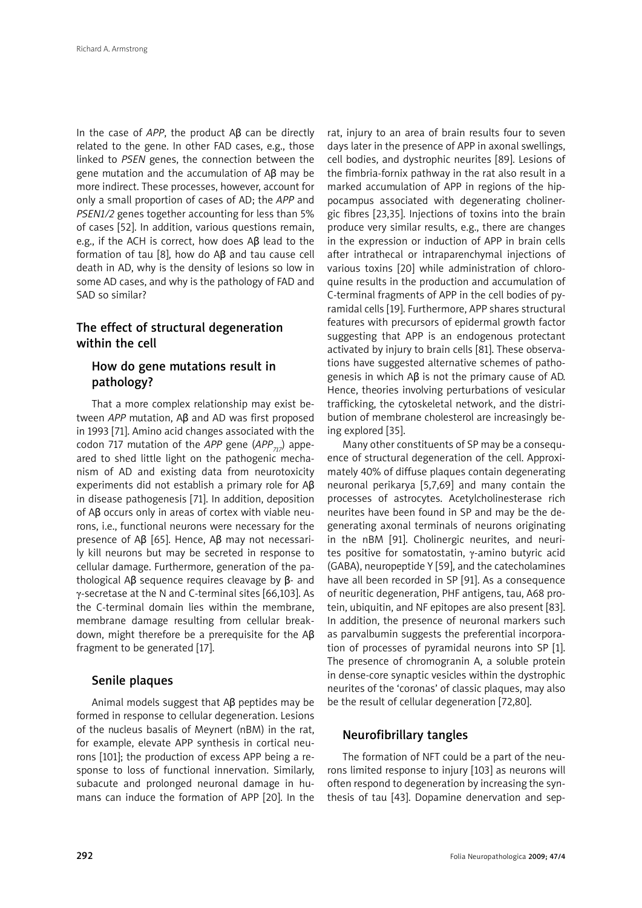In the case of *APP*, the product Aβ can be directly related to the gene. In other FAD cases, e.g., those linked to *PSEN* genes, the connection between the gene mutation and the accumulation of Aβ may be more indirect. These processes, however, account for only a small proportion of cases of AD; the *APP* and *PSEN1/2* genes together accounting for less than 5% of cases [52]. In addition, various questions remain, e.g., if the ACH is correct, how does Aβ lead to the formation of tau [8], how do Aβ and tau cause cell death in AD, why is the density of lesions so low in some AD cases, and why is the pathology of FAD and SAD so similar?

# The effect of structural degeneration within the cell

# How do gene mutations result in pathology?

That a more complex relationship may exist between *APP* mutation, Aβ and AD was first proposed in 1993 [71]. Amino acid changes associated with the codon 717 mutation of the *APP* gene (*APP717*) appeared to shed little light on the pathogenic mechanism of AD and existing data from neurotoxicity experiments did not establish a primary role for Aβ in disease pathogenesis [71]. In addition, deposition of Aβ occurs only in areas of cortex with viable neurons, i.e., functional neurons were necessary for the presence of Aβ [65]. Hence, Aβ may not necessarily kill neurons but may be secreted in response to cellular damage. Furthermore, generation of the pathological Aβ sequence requires cleavage by β- and γ-secretase at the N and C-terminal sites [66,103]. As the C-terminal domain lies within the membrane, membrane damage resulting from cellular breakdown, might therefore be a prerequisite for the Aβ fragment to be generated [17].

## Senile plaques

Animal models suggest that Aβ peptides may be formed in response to cellular degeneration. Lesions of the nucleus basalis of Meynert (nBM) in the rat, for example, elevate APP synthesis in cortical neurons [101]; the production of excess APP being a response to loss of functional innervation. Similarly, subacute and prolonged neuronal damage in humans can induce the formation of APP [20]. In the

rat, injury to an area of brain results four to seven days later in the presence of APP in axonal swellings, cell bodies, and dystrophic neurites [89]. Lesions of the fimbria-fornix pathway in the rat also result in a marked accumulation of APP in regions of the hippocampus associated with degenerating cholinergic fibres [23,35]. Injections of toxins into the brain produce very similar results, e.g., there are changes in the expression or induction of APP in brain cells after intrathecal or intraparenchymal injections of various toxins [20] while administration of chloroquine results in the production and accumulation of C-terminal fragments of APP in the cell bodies of pyramidal cells [19]. Furthermore, APP shares structural features with precursors of epidermal growth factor suggesting that APP is an endogenous protectant activated by injury to brain cells [81]. These observations have suggested alternative schemes of pathogenesis in which Aβ is not the primary cause of AD. Hence, theories involving perturbations of vesicular trafficking, the cytoskeletal network, and the distribution of membrane cholesterol are increasingly being explored [35].

Many other constituents of SP may be a consequence of structural degeneration of the cell. Approximately 40% of diffuse plaques contain degenerating neuronal perikarya [5,7,69] and many contain the processes of astrocytes. Acetylcholinesterase rich neurites have been found in SP and may be the degenerating axonal terminals of neurons originating in the nBM [91]. Cholinergic neurites, and neurites positive for somatostatin, γ-amino butyric acid (GABA), neuropeptide Y [59], and the catecholamines have all been recorded in SP [91]. As a consequence of neuritic degeneration, PHF antigens, tau, A68 protein, ubiquitin, and NF epitopes are also present [83]. In addition, the presence of neuronal markers such as parvalbumin suggests the preferential incorporation of processes of pyramidal neurons into SP [1]. The presence of chromogranin A, a soluble protein in dense-core synaptic vesicles within the dystrophic neurites of the 'coronas' of classic plaques, may also be the result of cellular degeneration [72,80].

## Neurofibrillary tangles

The formation of NFT could be a part of the neurons limited response to injury [103] as neurons will often respond to degeneration by increasing the synthesis of tau [43]. Dopamine denervation and sep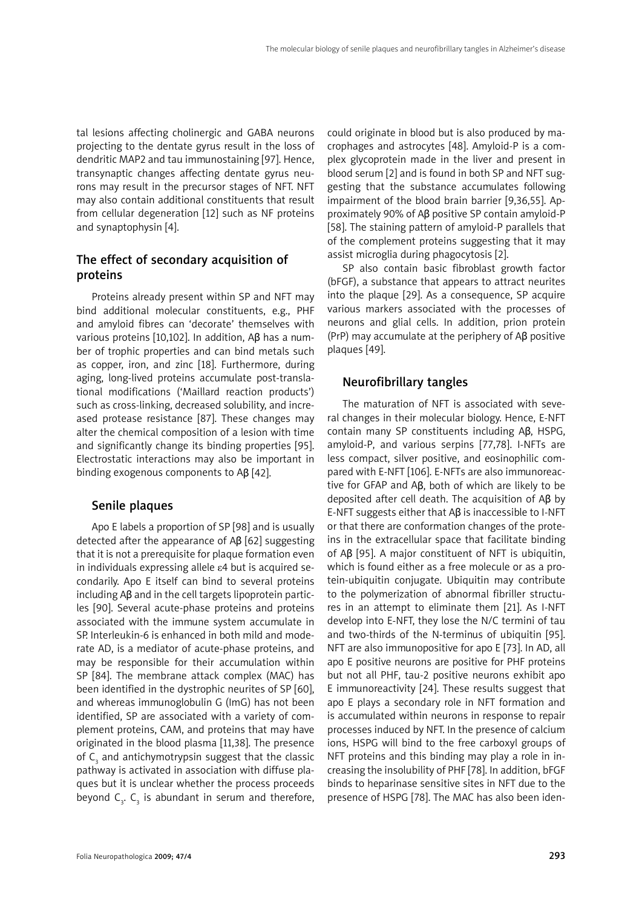tal lesions affecting cholinergic and GABA neurons projecting to the dentate gyrus result in the loss of dendritic MAP2 and tau immunostaining [97]. Hence, transynaptic changes affecting dentate gyrus neurons may result in the precursor stages of NFT. NFT may also contain additional constituents that result from cellular degeneration [12] such as NF proteins and synaptophysin [4].

# The effect of secondary acquisition of proteins

Proteins already present within SP and NFT may bind additional molecular constituents, e.g., PHF and amyloid fibres can 'decorate' themselves with various proteins [10,102]. In addition, Aβ has a number of trophic properties and can bind metals such as copper, iron, and zinc [18]. Furthermore, during aging, long-lived proteins accumulate post-translational modifications ('Maillard reaction products') such as cross-linking, decreased solubility, and increased protease resistance [87]. These changes may alter the chemical composition of a lesion with time and significantly change its binding properties [95]. Electrostatic interactions may also be important in binding exogenous components to Aβ [42].

# Senile plaques

Apo E labels a proportion of SP [98] and is usually detected after the appearance of Aβ [62] suggesting that it is not a prerequisite for plaque formation even in individuals expressing allele ε4 but is acquired secondarily. Apo E itself can bind to several proteins including Aβ and in the cell targets lipoprotein particles [90]. Several acute-phase proteins and proteins associated with the immune system accumulate in SP. Interleukin-6 is enhanced in both mild and moderate AD, is a mediator of acute-phase proteins, and may be responsible for their accumulation within SP [84]. The membrane attack complex (MAC) has been identified in the dystrophic neurites of SP [60], and whereas immunoglobulin G (ImG) has not been identified, SP are associated with a variety of complement proteins, CAM, and proteins that may have originated in the blood plasma [11,38]. The presence of  $C_{3}$  and antichymotrypsin suggest that the classic pathway is activated in association with diffuse plaques but it is unclear whether the process proceeds beyond  $C_{3}$ .  $C_{3}$  is abundant in serum and therefore, could originate in blood but is also produced by macrophages and astrocytes [48]. Amyloid-P is a complex glycoprotein made in the liver and present in blood serum [2] and is found in both SP and NFT suggesting that the substance accumulates following impairment of the blood brain barrier [9,36,55]. Approximately 90% of Aβ positive SP contain amyloid-P [58]. The staining pattern of amyloid-P parallels that of the complement proteins suggesting that it may assist microglia during phagocytosis [2].

SP also contain basic fibroblast growth factor (bFGF), a substance that appears to attract neurites into the plaque [29]. As a consequence, SP acquire various markers associated with the processes of neurons and glial cells. In addition, prion protein (PrP) may accumulate at the periphery of Aβ positive plaques [49].

# Neurofibrillary tangles

The maturation of NFT is associated with several changes in their molecular biology. Hence, E-NFT contain many SP constituents including Aβ, HSPG, amyloid-P, and various serpins [77,78]. I-NFTs are less compact, silver positive, and eosinophilic compared with E-NFT [106]. E-NFTs are also immunoreactive for GFAP and Aβ, both of which are likely to be deposited after cell death. The acquisition of Aβ by E-NFT suggests either that Aβ is inaccessible to I-NFT or that there are conformation changes of the proteins in the extracellular space that facilitate binding of Aβ [95]. A major constituent of NFT is ubiquitin, which is found either as a free molecule or as a protein-ubiquitin conjugate. Ubiquitin may contribute to the polymerization of abnormal fibriller structures in an attempt to eliminate them [21]. As I-NFT develop into E-NFT, they lose the N/C termini of tau and two-thirds of the N-terminus of ubiquitin [95]. NFT are also immunopositive for apo E [73]. In AD, all apo E positive neurons are positive for PHF proteins but not all PHF, tau-2 positive neurons exhibit apo E immunoreactivity [24]. These results suggest that apo E plays a secondary role in NFT formation and is accumulated within neurons in response to repair processes induced by NFT. In the presence of calcium ions, HSPG will bind to the free carboxyl groups of NFT proteins and this binding may play a role in increasing the insolubility of PHF [78]. In addition, bFGF binds to heparinase sensitive sites in NFT due to the presence of HSPG [78]. The MAC has also been iden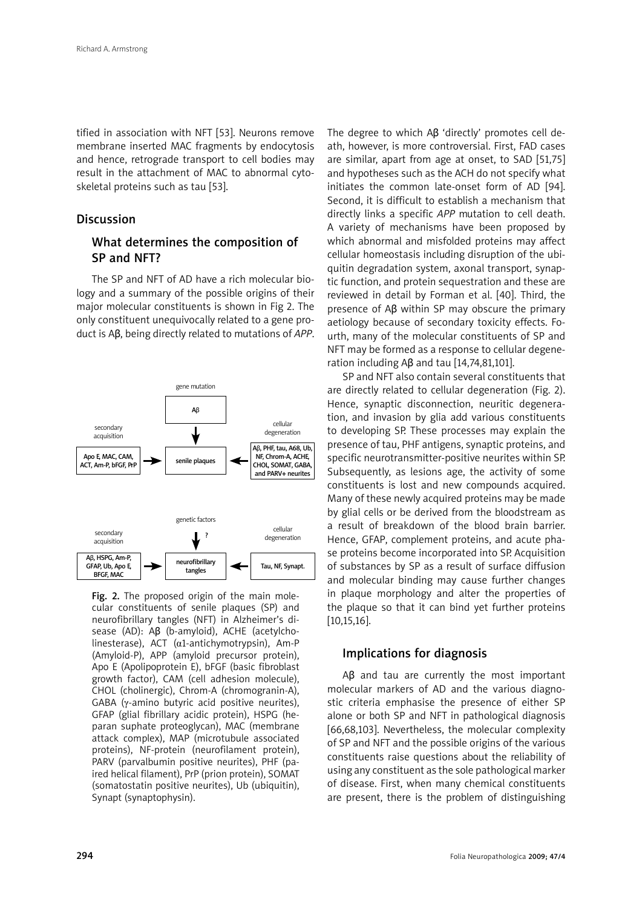tified in association with NFT [53]. Neurons remove membrane inserted MAC fragments by endocytosis and hence, retrograde transport to cell bodies may result in the attachment of MAC to abnormal cytoskeletal proteins such as tau [53].

## **Discussion**

# What determines the composition of SP and NFT?

The SP and NFT of AD have a rich molecular biology and a summary of the possible origins of their major molecular constituents is shown in Fig 2. The only constituent unequivocally related to a gene product is Aβ, being directly related to mutations of *APP*.



Fig. 2. The proposed origin of the main molecular constituents of senile plaques (SP) and neurofibrillary tangles (NFT) in Alzheimer's disease (AD): Aβ (b-amyloid), ACHE (acetylcholinesterase), ACT  $(\alpha 1$ -antichymotrypsin), Am-P (Amyloid-P), APP (amyloid precursor protein), Apo E (Apolipoprotein E), bFGF (basic fibroblast growth factor), CAM (cell adhesion molecule), CHOL (cholinergic), Chrom-A (chromogranin-A), GABA (γ-amino butyric acid positive neurites), GFAP (glial fibrillary acidic protein), HSPG (heparan suphate proteoglycan), MAC (membrane attack complex), MAP (microtubule associated proteins), NF-protein (neurofilament protein), PARV (parvalbumin positive neurites), PHF (paired helical filament), PrP (prion protein), SOMAT (somatostatin positive neurites), Ub (ubiquitin), Synapt (synaptophysin).

The degree to which Aβ 'directly' promotes cell death, however, is more controversial. First, FAD cases are similar, apart from age at onset, to SAD [51,75] and hypotheses such as the ACH do not specify what initiates the common late-onset form of AD [94]. Second, it is difficult to establish a mechanism that directly links a specific *APP* mutation to cell death. A variety of mechanisms have been proposed by which abnormal and misfolded proteins may affect cellular homeostasis including disruption of the ubiquitin degradation system, axonal transport, synaptic function, and protein sequestration and these are reviewed in detail by Forman et al. [40]. Third, the presence of Aβ within SP may obscure the primary aetiology because of secondary toxicity effects. Fourth, many of the molecular constituents of SP and NFT may be formed as a response to cellular degeneration including Aβ and tau [14,74,81,101].

SP and NFT also contain several constituents that are directly related to cellular degeneration (Fig. 2). Hence, synaptic disconnection, neuritic degeneration, and invasion by glia add various constituents to developing SP. These processes may explain the presence of tau, PHF antigens, synaptic proteins, and specific neurotransmitter-positive neurites within SP. Subsequently, as lesions age, the activity of some constituents is lost and new compounds acquired. Many of these newly acquired proteins may be made by glial cells or be derived from the bloodstream as a result of breakdown of the blood brain barrier. Hence, GFAP, complement proteins, and acute phase proteins become incorporated into SP. Acquisition of substances by SP as a result of surface diffusion and molecular binding may cause further changes in plaque morphology and alter the properties of the plaque so that it can bind yet further proteins [10,15,16].

#### Implications for diagnosis

Aβ and tau are currently the most important molecular markers of AD and the various diagnostic criteria emphasise the presence of either SP alone or both SP and NFT in pathological diagnosis [66,68,103]. Nevertheless, the molecular complexity of SP and NFT and the possible origins of the various constituents raise questions about the reliability of using any constituent as the sole pathological marker of disease. First, when many chemical constituents are present, there is the problem of distinguishing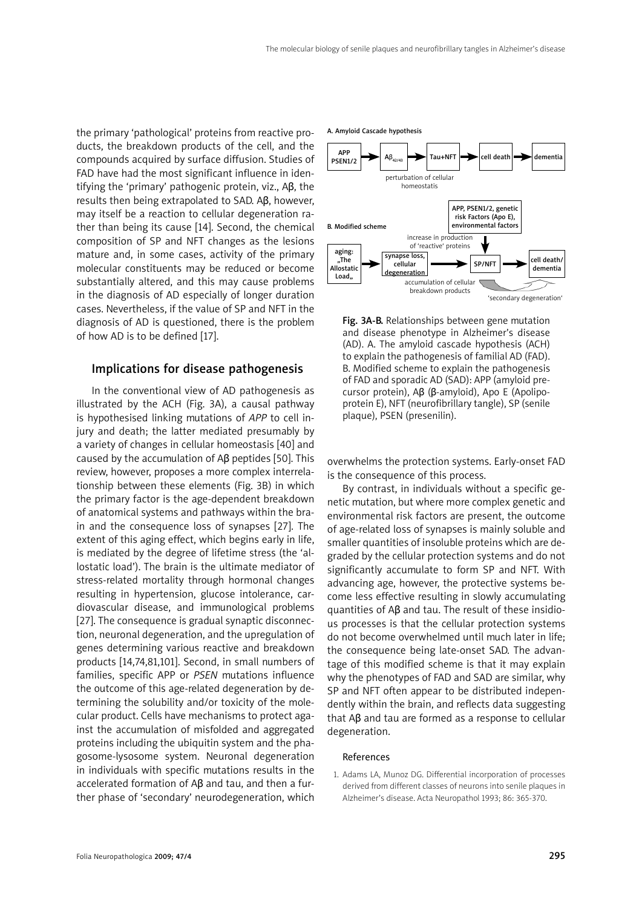the primary 'pathological' proteins from reactive products, the breakdown products of the cell, and the compounds acquired by surface diffusion. Studies of FAD have had the most significant influence in identifying the 'primary' pathogenic protein, viz., Aβ, the results then being extrapolated to SAD. Aβ, however, may itself be a reaction to cellular degeneration rather than being its cause [14]. Second, the chemical composition of SP and NFT changes as the lesions mature and, in some cases, activity of the primary molecular constituents may be reduced or become substantially altered, and this may cause problems in the diagnosis of AD especially of longer duration cases. Nevertheless, if the value of SP and NFT in the diagnosis of AD is questioned, there is the problem of how AD is to be defined [17].

#### Implications for disease pathogenesis

In the conventional view of AD pathogenesis as illustrated by the ACH (Fig. 3A), a causal pathway is hypothesised linking mutations of *APP* to cell injury and death; the latter mediated presumably by a variety of changes in cellular homeostasis [40] and caused by the accumulation of Aβ peptides [50]. This review, however, proposes a more complex interrelationship between these elements (Fig. 3B) in which the primary factor is the age-dependent breakdown of anatomical systems and pathways within the brain and the consequence loss of synapses [27]. The extent of this aging effect, which begins early in life, is mediated by the degree of lifetime stress (the 'allostatic load'). The brain is the ultimate mediator of stress-related mortality through hormonal changes resulting in hypertension, glucose intolerance, cardiovascular disease, and immunological problems [27]. The consequence is gradual synaptic disconnection, neuronal degeneration, and the upregulation of genes determining various reactive and breakdown products [14,74,81,101]. Second, in small numbers of families, specific APP or *PSEN* mutations influence the outcome of this age-related degeneration by determining the solubility and/or toxicity of the molecular product. Cells have mechanisms to protect against the accumulation of misfolded and aggregated proteins including the ubiquitin system and the phagosome-lysosome system. Neuronal degeneration in individuals with specific mutations results in the accelerated formation of Aβ and tau, and then a further phase of 'secondary' neurodegeneration, which

perturbation of cellular homeostatis APP PSEN1/2 A. Amyloid Cascade hypothesis  $AB_{42/43}$   $\longrightarrow$  Tau+NFT cell death dementia increase in production **of 'reactive' proteins** "<br>The Allostati Load. B. Modified scheme synapse loss, cellular degeneration  $S$ P/NFT  $\left| \bullet \right|$  cell death/ dementia APP, PSEN1/2, genetic risk Factors (Apo E), environmental factors accumulation of cellular breakdown products 'secondary degeneration'

Fig. 3A-B. Relationships between gene mutation and disease phenotype in Alzheimer's disease (AD). A. The amyloid cascade hypothesis (ACH) to explain the pathogenesis of familial AD (FAD). B. Modified scheme to explain the pathogenesis of FAD and sporadic AD (SAD): APP (amyloid precursor protein), Aβ (β-amyloid), Apo E (Apolipoprotein E), NFT (neurofibrillary tangle), SP (senile plaque), PSEN (presenilin).

overwhelms the protection systems. Early-onset FAD is the consequence of this process.

By contrast, in individuals without a specific genetic mutation, but where more complex genetic and environmental risk factors are present, the outcome of age-related loss of synapses is mainly soluble and smaller quantities of insoluble proteins which are degraded by the cellular protection systems and do not significantly accumulate to form SP and NFT. With advancing age, however, the protective systems become less effective resulting in slowly accumulating quantities of Aβ and tau. The result of these insidious processes is that the cellular protection systems do not become overwhelmed until much later in life; the consequence being late-onset SAD. The advantage of this modified scheme is that it may explain why the phenotypes of FAD and SAD are similar, why SP and NFT often appear to be distributed independently within the brain, and reflects data suggesting that Aβ and tau are formed as a response to cellular degeneration.

#### References

1. Adams LA, Munoz DG. Differential incorporation of processes derived from different classes of neurons into senile plaques in Alzheimer's disease. Acta Neuropathol 1993; 86: 365-370.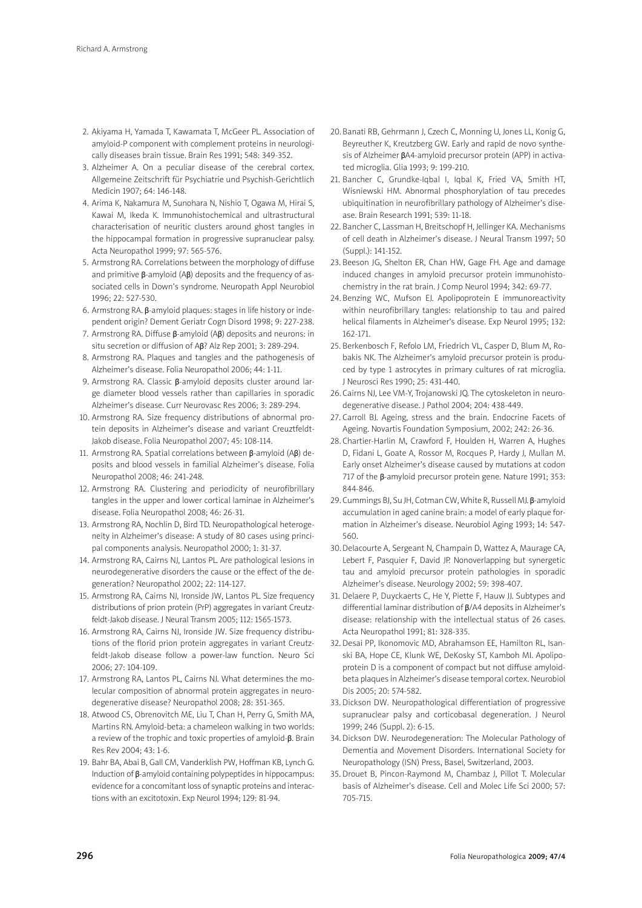- 2. Akiyama H, Yamada T, Kawamata T, McGeer PL. Association of amyloid-P component with complement proteins in neurologically diseases brain tissue. Brain Res 1991; 548: 349-352.
- 3. Alzheimer A. On a peculiar disease of the cerebral cortex. Allgemeine Zeitschrift für Psychiatrie und Psychish-Gerichtlich Medicin 1907; 64: 146-148.
- 4. Arima K, Nakamura M, Sunohara N, Nishio T, Ogawa M, Hirai S, Kawai M, Ikeda K. Immunohistochemical and ultrastructural characterisation of neuritic clusters around ghost tangles in the hippocampal formation in progressive supranuclear palsy. Acta Neuropathol 1999; 97: 565-576.
- 5. Armstrong RA. Correlations between the morphology of diffuse and primitive β-amyloid (Aβ) deposits and the frequency of associated cells in Down's syndrome. Neuropath Appl Neurobiol 1996; 22: 527-530.
- 6. Armstrong RA. β-amyloid plaques: stages in life history or independent origin? Dement Geriatr Cogn Disord 1998; 9: 227-238.
- 7. Armstrong RA. Diffuse β-amyloid (Aβ) deposits and neurons: in situ secretion or diffusion of Aβ? Alz Rep 2001; 3: 289-294.
- 8. Armstrong RA. Plaques and tangles and the pathogenesis of Alzheimer's disease. Folia Neuropathol 2006; 44: 1-11.
- 9. Armstrong RA. Classic β-amyloid deposits cluster around large diameter blood vessels rather than capillaries in sporadic Alzheimer's disease. Curr Neurovasc Res 2006; 3: 289-294.
- 10. Armstrong RA. Size frequency distributions of abnormal protein deposits in Alzheimer's disease and variant Creuztfeldt-Jakob disease. Folia Neuropathol 2007; 45: 108-114.
- 11. Armstrong RA. Spatial correlations between β-amyloid (Aβ) deposits and blood vessels in familial Alzheimer's disease. Folia Neuropathol 2008; 46: 241-248.
- 12. Armstrong RA. Clustering and periodicity of neurofibrillary tangles in the upper and lower cortical laminae in Alzheimer's disease. Folia Neuropathol 2008; 46: 26-31.
- 13. Armstrong RA, Nochlin D, Bird TD. Neuropathological heterogeneity in Alzheimer's disease: A study of 80 cases using principal components analysis. Neuropathol 2000; 1: 31-37.
- 14. Armstrong RA, Cairns NJ, Lantos PL. Are pathological lesions in neurodegenerative disorders the cause or the effect of the degeneration? Neuropathol 2002; 22: 114-127.
- 15. Armstrong RA, Cairns NJ, Ironside JW, Lantos PL. Size frequency distributions of prion protein (PrP) aggregates in variant Creutzfeldt-Jakob disease. J Neural Transm 2005; 112: 1565-1573.
- 16. Armstrong RA, Cairns NJ, Ironside JW. Size frequency distributions of the florid prion protein aggregates in variant Creutzfeldt-Jakob disease follow a power-law function. Neuro Sci 2006; 27: 104-109.
- 17. Armstrong RA, Lantos PL, Cairns NJ. What determines the molecular composition of abnormal protein aggregates in neurodegenerative disease? Neuropathol 2008; 28: 351-365.
- 18. Atwood CS, Obrenovitch ME, Liu T, Chan H, Perry G, Smith MA, Martins RN. Amyloid-beta: a chameleon walking in two worlds: a review of the trophic and toxic properties of amyloid-β. Brain Res Rev 2004; 43: 1-6.
- 19. Bahr BA, Abai B, Gall CM, Vanderklish PW, Hoffman KB, Lynch G. Induction of β-amyloid containing polypeptides in hippocampus: evidence for a concomitant loss of synaptic proteins and interactions with an excitotoxin. Exp Neurol 1994; 129: 81-94.
- 20. Banati RB, Gehrmann J, Czech C, Monning U, Jones LL, Konig G, Beyreuther K, Kreutzberg GW. Early and rapid de novo synthesis of Alzheimer βA4-amyloid precursor protein (APP) in activated microglia. Glia 1993; 9: 199-210.
- 21. Bancher C, Grundke-Iqbal I, Iqbal K, Fried VA, Smith HT, Wisniewski HM. Abnormal phosphorylation of tau precedes ubiquitination in neurofibrillary pathology of Alzheimer's disease. Brain Research 1991; 539: 11-18.
- 22. Bancher C, Lassman H, Breitschopf H, Jellinger KA. Mechanisms of cell death in Alzheimer's disease. J Neural Transm 1997; 50 (Suppl.): 141-152.
- 23. Beeson JG, Shelton ER, Chan HW, Gage FH. Age and damage induced changes in amyloid precursor protein immunohistochemistry in the rat brain. J Comp Neurol 1994; 342: 69-77.
- 24. Benzing WC, Mufson EJ. Apolipoprotein E immunoreactivity within neurofibrillary tangles: relationship to tau and paired helical filaments in Alzheimer's disease. Exp Neurol 1995; 132: 162-171.
- 25. Berkenbosch F, Refolo LM, Friedrich VL, Casper D, Blum M, Robakis NK. The Alzheimer's amyloid precursor protein is produced by type 1 astrocytes in primary cultures of rat microglia. J Neurosci Res 1990; 25: 431-440.
- 26. Cairns NJ, Lee VM-Y, Trojanowski JQ. The cytoskeleton in neurodegenerative disease. J Pathol 2004; 204: 438-449.
- 27. Carroll BJ. Ageing, stress and the brain. Endocrine Facets of Ageing. Novartis Foundation Symposium, 2002; 242: 26-36.
- 28. Chartier-Harlin M, Crawford F, Houlden H, Warren A, Hughes D, Fidani L, Goate A, Rossor M, Rocques P, Hardy J, Mullan M. Early onset Alzheimer's disease caused by mutations at codon 717 of the β-amyloid precursor protein gene. Nature 1991; 353: 844-846.
- 29. Cummings BJ, Su JH, Cotman CW, White R, Russell MJ. β-amyloid accumulation in aged canine brain: a model of early plaque formation in Alzheimer's disease. Neurobiol Aging 1993; 14: 547- 560.
- 30.Delacourte A, Sergeant N, Champain D, Wattez A, Maurage CA, Lebert F, Pasquier F, David JP. Nonoverlapping but synergetic tau and amyloid precursor protein pathologies in sporadic Alzheimer's disease. Neurology 2002; 59: 398-407.
- 31. Delaere P, Duyckaerts C, He Y, Piette F, Hauw JJ. Subtypes and differential laminar distribution of β/A4 deposits in Alzheimer's disease: relationship with the intellectual status of 26 cases. Acta Neuropathol 1991; 81: 328-335.
- 32. Desai PP, Ikonomovic MD, Abrahamson EE, Hamilton RL, Isanski BA, Hope CE, Klunk WE, DeKosky ST, Kamboh MI. Apolipoprotein D is a component of compact but not diffuse amyloidbeta plaques in Alzheimer's disease temporal cortex. Neurobiol Dis 2005; 20: 574-582.
- 33. Dickson DW. Neuropathological differentiation of progressive supranuclear palsy and corticobasal degeneration. J Neurol 1999; 246 (Suppl. 2): 6-15.
- 34. Dickson DW. Neurodegeneration: The Molecular Pathology of Dementia and Movement Disorders. International Society for Neuropathology (ISN) Press, Basel, Switzerland, 2003.
- 35. Drouet B, Pincon-Raymond M, Chambaz J, Pillot T. Molecular basis of Alzheimer's disease. Cell and Molec Life Sci 2000; 57: 705-715.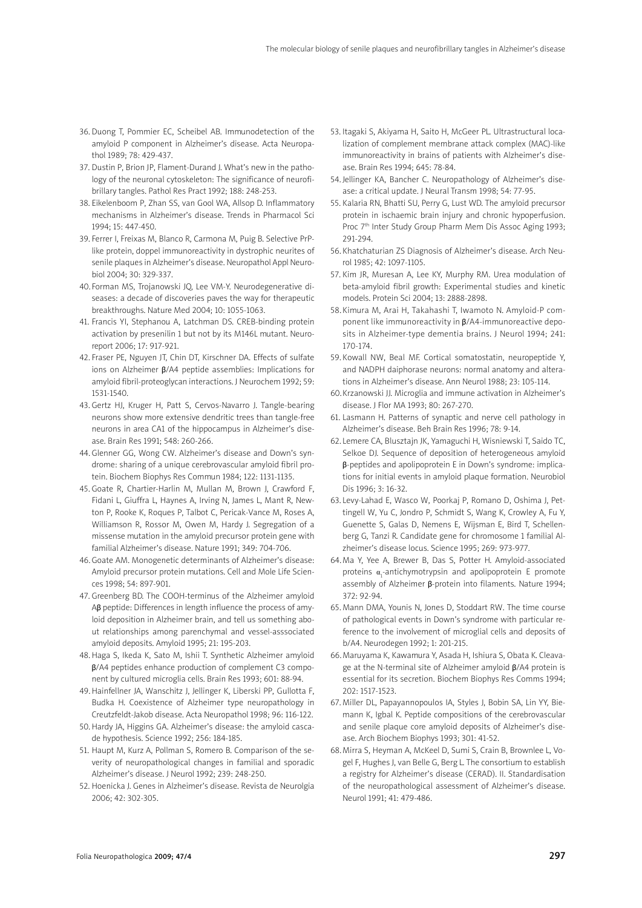- 36. Duong T, Pommier EC, Scheibel AB. Immunodetection of the amyloid P component in Alzheimer's disease. Acta Neuropathol 1989; 78: 429-437.
- 37. Dustin P, Brion JP, Flament-Durand J. What's new in the pathology of the neuronal cytoskeleton: The significance of neurofibrillary tangles. Pathol Res Pract 1992; 188: 248-253.
- 38. Eikelenboom P, Zhan SS, van Gool WA, Allsop D. Inflammatory mechanisms in Alzheimer's disease. Trends in Pharmacol Sci 1994; 15: 447-450.
- 39. Ferrer I, Freixas M, Blanco R, Carmona M, Puig B. Selective PrPlike protein, doppel immunoreactivity in dystrophic neurites of senile plaques in Alzheimer's disease. Neuropathol Appl Neurobiol 2004; 30: 329-337.
- 40. Forman MS, Trojanowski JQ, Lee VM-Y. Neurodegenerative diseases: a decade of discoveries paves the way for therapeutic breakthroughs. Nature Med 2004; 10: 1055-1063.
- 41. Francis YI, Stephanou A, Latchman DS. CREB-binding protein activation by presenilin 1 but not by its M146L mutant. Neuroreport 2006; 17: 917-921.
- 42. Fraser PE, Nguyen JT, Chin DT, Kirschner DA. Effects of sulfate ions on Alzheimer β/A4 peptide assemblies: Implications for amyloid fibril-proteoglycan interactions. J Neurochem 1992; 59: 1531-1540.
- 43. Gertz HJ, Kruger H, Patt S, Cervos-Navarro J. Tangle-bearing neurons show more extensive dendritic trees than tangle-free neurons in area CA1 of the hippocampus in Alzheimer's disease. Brain Res 1991; 548: 260-266.
- 44.Glenner GG, Wong CW. Alzheimer's disease and Down's syndrome: sharing of a unique cerebrovascular amyloid fibril protein. Biochem Biophys Res Commun 1984; 122: 1131-1135.
- 45. Goate R, Chartier-Harlin M, Mullan M, Brown J, Crawford F, Fidani L, Giuffra L, Haynes A, Irving N, James L, Mant R, Newton P, Rooke K, Roques P, Talbot C, Pericak-Vance M, Roses A, Williamson R, Rossor M, Owen M, Hardy J. Segregation of a missense mutation in the amyloid precursor protein gene with familial Alzheimer's disease. Nature 1991; 349: 704-706.
- 46.Goate AM. Monogenetic determinants of Alzheimer's disease: Amyloid precursor protein mutations. Cell and Mole Life Sciences 1998; 54: 897-901.
- 47. Greenberg BD. The COOH-terminus of the Alzheimer amyloid Aβ peptide: Differences in length influence the process of amyloid deposition in Alzheimer brain, and tell us something about relationships among parenchymal and vessel-asssociated amyloid deposits. Amyloid 1995; 21: 195-203.
- 48.Haga S, Ikeda K, Sato M, Ishii T. Synthetic Alzheimer amyloid β/A4 peptides enhance production of complement C3 component by cultured microglia cells. Brain Res 1993; 601: 88-94.
- 49.Hainfellner JA, Wanschitz J, Jellinger K, Liberski PP, Gullotta F, Budka H. Coexistence of Alzheimer type neuropathology in Creutzfeldt-Jakob disease. Acta Neuropathol 1998; 96: 116-122.
- 50.Hardy JA, Higgins GA. Alzheimer's disease: the amyloid cascade hypothesis. Science 1992; 256: 184-185.
- 51. Haupt M, Kurz A, Pollman S, Romero B. Comparison of the severity of neuropathological changes in familial and sporadic Alzheimer's disease. J Neurol 1992; 239: 248-250.
- 52. Hoenicka J. Genes in Alzheimer's disease. Revista de Neurolgia 2006; 42: 302-305.
- 53. Itagaki S, Akiyama H, Saito H, McGeer PL. Ultrastructural localization of complement membrane attack complex (MAC)-like immunoreactivity in brains of patients with Alzheimer's disease. Brain Res 1994; 645: 78-84.
- 54. Jellinger KA, Bancher C. Neuropathology of Alzheimer's disease: a critical update. J Neural Transm 1998; 54: 77-95.
- 55. Kalaria RN, Bhatti SU, Perry G, Lust WD. The amyloid precursor protein in ischaemic brain injury and chronic hypoperfusion. Proc 7<sup>th</sup> Inter Study Group Pharm Mem Dis Assoc Aging 1993; 291-294.
- 56. Khatchaturian ZS Diagnosis of Alzheimer's disease. Arch Neurol 1985; 42: 1097-1105.
- 57. Kim JR, Muresan A, Lee KY, Murphy RM. Urea modulation of beta-amyloid fibril growth: Experimental studies and kinetic models. Protein Sci 2004; 13: 2888-2898.
- 58. Kimura M, Arai H, Takahashi T, Iwamoto N. Amyloid-P component like immunoreactivity in β/A4-immunoreactive deposits in Alzheimer-type dementia brains. J Neurol 1994; 241: 170-174.
- 59. Kowall NW, Beal MF. Cortical somatostatin, neuropeptide Y, and NADPH daiphorase neurons: normal anatomy and alterations in Alzheimer's disease. Ann Neurol 1988; 23: 105-114.
- 60.Krzanowski JJ. Microglia and immune activation in Alzheimer's disease. J Flor MA 1993; 80: 267-270.
- 61. Lasmann H. Patterns of synaptic and nerve cell pathology in Alzheimer's disease. Beh Brain Res 1996; 78: 9-14.
- 62. Lemere CA, Blusztajn JK, Yamaguchi H, Wisniewski T, Saido TC, Selkoe DJ. Sequence of deposition of heterogeneous amyloid β-peptides and apolipoprotein E in Down's syndrome: implications for initial events in amyloid plaque formation. Neurobiol Dis 1996; 3: 16-32.
- 63. Levy-Lahad E, Wasco W, Poorkaj P, Romano D, Oshima J, Pettingell W, Yu C, Jondro P, Schmidt S, Wang K, Crowley A, Fu Y, Guenette S, Galas D, Nemens E, Wijsman E, Bird T, Schellenberg G, Tanzi R. Candidate gene for chromosome 1 familial Alzheimer's disease locus. Science 1995; 269: 973-977.
- 64. Ma Y, Yee A, Brewer B, Das S, Potter H. Amyloid-associated proteins  $\alpha_1$ -antichymotrypsin and apolipoprotein E promote assembly of Alzheimer β-protein into filaments. Nature 1994; 372: 92-94.
- 65. Mann DMA, Younis N, Jones D, Stoddart RW. The time course of pathological events in Down's syndrome with particular reference to the involvement of microglial cells and deposits of b/A4. Neurodegen 1992; 1: 201-215.
- 66.Maruyama K, Kawamura Y, Asada H, Ishiura S, Obata K. Cleavage at the N-terminal site of Alzheimer amyloid β/A4 protein is essential for its secretion. Biochem Biophys Res Comms 1994; 202: 1517-1523.
- 67. Miller DL, Papayannopoulos IA, Styles J, Bobin SA, Lin YY, Biemann K, Igbal K. Peptide compositions of the cerebrovascular and senile plaque core amyloid deposits of Alzheimer's disease. Arch Biochem Biophys 1993; 301: 41-52.
- 68. Mirra S, Heyman A, McKeel D, Sumi S, Crain B, Brownlee L, Vogel F, Hughes J, van Belle G, Berg L. The consortium to establish a registry for Alzheimer's disease (CERAD). II. Standardisation of the neuropathological assessment of Alzheimer's disease. Neurol 1991; 41: 479-486.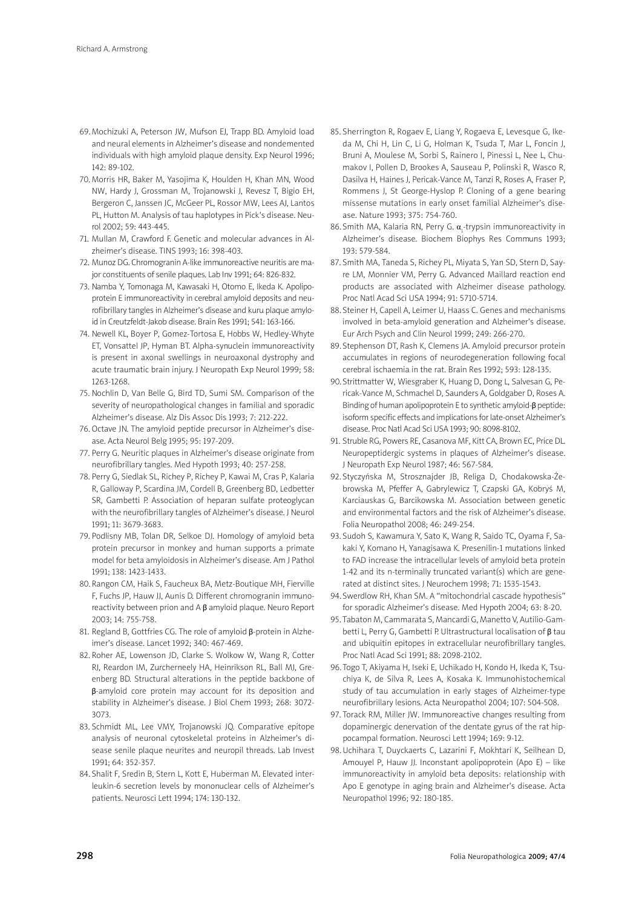- 69.Mochizuki A, Peterson JW, Mufson EJ, Trapp BD. Amyloid load and neural elements in Alzheimer's disease and nondemented individuals with high amyloid plaque density. Exp Neurol 1996; 142: 89-102.
- 70. Morris HR, Baker M, Yasojima K, Houlden H, Khan MN, Wood NW, Hardy J, Grossman M, Trojanowski J, Revesz T, Bigio EH, Bergeron C, Janssen JC, McGeer PL, Rossor MW, Lees AJ, Lantos PL, Hutton M. Analysis of tau haplotypes in Pick's disease. Neurol 2002; 59: 443-445.
- 71. Mullan M, Crawford F. Genetic and molecular advances in Alzheimer's disease. TINS 1993; 16: 398-403.
- 72. Munoz DG. Chromogranin A-like immunoreactive neuritis are major constituents of senile plaques. Lab Inv 1991; 64: 826-832.
- 73. Namba Y, Tomonaga M, Kawasaki H, Otomo E, Ikeda K. Apolipoprotein E immunoreactivity in cerebral amyloid deposits and neurofibrillary tangles in Alzheimer's disease and kuru plaque amyloid in Creutzfeldt-Jakob disease. Brain Res 1991; 541: 163-166.
- 74. Newell KL, Boyer P, Gomez-Tortosa E, Hobbs W, Hedley-Whyte ET, Vonsattel JP, Hyman BT. Alpha-synuclein immunoreactivity is present in axonal swellings in neuroaxonal dystrophy and acute traumatic brain injury. J Neuropath Exp Neurol 1999; 58: 1263-1268.
- 75. Nochlin D, Van Belle G, Bird TD, Sumi SM. Comparison of the severity of neuropathological changes in familial and sporadic Alzheimer's disease. Alz Dis Assoc Dis 1993; 7: 212-222.
- 76. Octave JN. The amyloid peptide precursor in Alzheimer's disease. Acta Neurol Belg 1995; 95: 197-209.
- 77. Perry G. Neuritic plaques in Alzheimer's disease originate from neurofibrillary tangles. Med Hypoth 1993; 40: 257-258.
- 78. Perry G, Siedlak SL, Richey P, Richey P, Kawai M, Cras P, Kalaria R, Galloway P, Scardina JM, Cordell B, Greenberg BD, Ledbetter SR. Gambetti P. Association of heparan sulfate proteoglycan with the neurofibrillary tangles of Alzheimer's disease. J Neurol 1991; 11: 3679-3683.
- 79. Podlisny MB, Tolan DR, Selkoe DJ. Homology of amyloid beta protein precursor in monkey and human supports a primate model for beta amyloidosis in Alzheimer's disease. Am J Pathol 1991; 138: 1423-1433.
- 80.Rangon CM, Haik S, Faucheux BA, Metz-Boutique MH, Fierville F, Fuchs JP, Hauw JJ, Aunis D. Different chromogranin immunoreactivity between prion and A β amyloid plaque. Neuro Report 2003; 14: 755-758.
- 81. Regland B, Gottfries CG. The role of amyloid β-protein in Alzheimer's disease. Lancet 1992; 340: 467-469.
- 82. Roher AE, Lowenson JD, Clarke S. Wolkow W, Wang R, Cotter RJ, Reardon IM, Zurcherneely HA, Heinrikson RL, Ball MJ, Greenberg BD. Structural alterations in the peptide backbone of β-amyloid core protein may account for its deposition and stability in Alzheimer's disease. J Biol Chem 1993; 268: 3072- 3073.
- 83. Schmidt ML, Lee VMY, Trojanowski JQ. Comparative epitope analysis of neuronal cytoskeletal proteins in Alzheimer's disease senile plaque neurites and neuropil threads. Lab Invest 1991; 64: 352-357.
- 84. Shalit F, Sredin B, Stern L, Kott E, Huberman M. Elevated interleukin-6 secretion levels by mononuclear cells of Alzheimer's patients. Neurosci Lett 1994; 174: 130-132.
- 85. Sherrington R, Rogaev E, Liang Y, Rogaeva E, Levesque G, Ikeda M, Chi H, Lin C, Li G, Holman K, Tsuda T, Mar L, Foncin J, Bruni A, Moulese M, Sorbi S, Rainero I, Pinessi L, Nee L, Chumakov I, Pollen D, Brookes A, Sauseau P, Polinski R, Wasco R, Dasilva H, Haines J, Pericak-Vance M, Tanzi R, Roses A, Fraser P, Rommens J, St George-Hyslop P. Cloning of a gene bearing missense mutations in early onset familial Alzheimer's disease. Nature 1993; 375: 754-760.
- 86. Smith MA, Kalaria RN, Perry G.  $\alpha_{1}$ -trypsin immunoreactivity in Alzheimer's disease. Biochem Biophys Res Communs 1993; 193: 579-584.
- 87. Smith MA, Taneda S, Richey PL, Miyata S, Yan SD, Stern D, Sayre LM, Monnier VM, Perry G. Advanced Maillard reaction end products are associated with Alzheimer disease pathology. Proc Natl Acad Sci USA 1994; 91: 5710-5714.
- 88. Steiner H, Capell A, Leimer U, Haass C. Genes and mechanisms involved in beta-amyloid generation and Alzheimer's disease. Eur Arch Psych and Clin Neurol 1999; 249: 266-270.
- 89. Stephenson DT, Rash K, Clemens JA. Amyloid precursor protein accumulates in regions of neurodegeneration following focal cerebral ischaemia in the rat. Brain Res 1992; 593: 128-135.
- 90. Strittmatter W, Wiesgraber K, Huang D, Dong L, Salvesan G, Pericak-Vance M, Schmachel D, Saunders A, Goldgaber D, Roses A. Binding of human apolipoprotein E to synthetic amyloid-β peptide: isoform specific effects and implications for late-onset Alzheimer's disease. Proc Natl Acad Sci USA 1993; 90: 8098-8102.
- 91. Struble RG, Powers RE, Casanova MF, Kitt CA, Brown EC, Price DL. Neuropeptidergic systems in plaques of Alzheimer's disease. J Neuropath Exp Neurol 1987; 46: 567-584.
- 92. Styczyńska M, Strosznajder JB, Religa D, Chodakowska-Żebrowska M, Pfeffer A, Gabrylewicz T, Czapski GA, Kobryś M, Karciauskas G, Barcikowska M. Association between genetic and environmental factors and the risk of Alzheimer's disease. Folia Neuropathol 2008; 46: 249-254.
- 93. Sudoh S, Kawamura Y, Sato K, Wang R, Saido TC, Oyama F, Sakaki Y, Komano H, Yanagisawa K. Presenilin-1 mutations linked to FAD increase the intracellular levels of amyloid beta protein 1-42 and its n-terminally truncated variant(s) which are generated at distinct sites. J Neurochem 1998; 71: 1535-1543.
- 94. Swerdlow RH, Khan SM. A "mitochondrial cascade hypothesis" for sporadic Alzheimer's disease. Med Hypoth 2004; 63: 8-20.
- 95. Tabaton M, Cammarata S, Mancardi G, Manetto V, Autilio-Gambetti L, Perry G, Gambetti P. Ultrastructural localisation of β tau and ubiquitin epitopes in extracellular neurofibrillary tangles. Proc Natl Acad Sci 1991; 88: 2098-2102.
- 96. Togo T, Akiyama H, Iseki E, Uchikado H, Kondo H, Ikeda K, Tsuchiya K, de Silva R, Lees A, Kosaka K. Immunohistochemical study of tau accumulation in early stages of Alzheimer-type neurofibrillary lesions. Acta Neuropathol 2004; 107: 504-508.
- 97. Torack RM, Miller JW. Immunoreactive changes resulting from dopaminergic denervation of the dentate gyrus of the rat hippocampal formation. Neurosci Lett 1994; 169: 9-12.
- 98.Uchihara T, Duyckaerts C, Lazarini F, Mokhtari K, Seilhean D, Amouyel P, Hauw JJ. Inconstant apolipoprotein (Apo E) – like immunoreactivity in amyloid beta deposits: relationship with Apo E genotype in aging brain and Alzheimer's disease. Acta Neuropathol 1996; 92: 180-185.